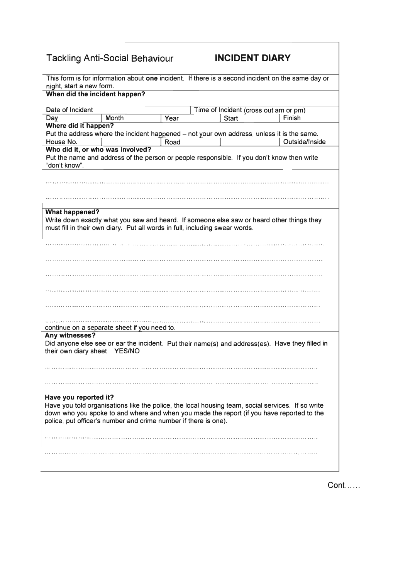## **Tackling Anti-Social Behaviour**

## **INCIDENT DIARY**

| This form is for information about one incident. If there is a second incident on the same day or |
|---------------------------------------------------------------------------------------------------|
| night, start a new form.                                                                          |
| When did the incident happen?                                                                     |
|                                                                                                   |
| Date of Incident<br>Time of Incident (cross out am or pm)                                         |
| Month<br><b>Start</b><br>Finish<br>Day<br>Year                                                    |
| Where did it happen?                                                                              |
| Put the address where the incident happened – not your own address, unless it is the same.        |
| House No.<br>Road<br>Outside/Inside                                                               |
| Who did it, or who was involved?                                                                  |
| Put the name and address of the person or people responsible. If you don't know then write        |
| "don't know".                                                                                     |
|                                                                                                   |
|                                                                                                   |
|                                                                                                   |
|                                                                                                   |
|                                                                                                   |
| <b>What happened?</b>                                                                             |
| Write down exactly what you saw and heard. If someone else saw or heard other things they         |
| must fill in their own diary. Put all words in full, including swear words.                       |
|                                                                                                   |
|                                                                                                   |
|                                                                                                   |
|                                                                                                   |
|                                                                                                   |
|                                                                                                   |
|                                                                                                   |
|                                                                                                   |
|                                                                                                   |
|                                                                                                   |
|                                                                                                   |
| continue on a separate sheet if you need to.                                                      |
| Any witnesses?                                                                                    |
| Did anyone else see or ear the incident. Put their name(s) and address(es). Have they filled in   |
| their own diary sheet YES/NO                                                                      |
|                                                                                                   |
|                                                                                                   |
|                                                                                                   |
|                                                                                                   |
|                                                                                                   |
| Have you reported it?                                                                             |
| Have you told organisations like the police, the local housing team, social services. If so write |
| down who you spoke to and where and when you made the report (if you have reported to the         |
| police, put officer's number and crime number if there is one).                                   |
|                                                                                                   |
|                                                                                                   |
|                                                                                                   |
|                                                                                                   |
|                                                                                                   |
|                                                                                                   |
|                                                                                                   |

 $Cont. \ldots$